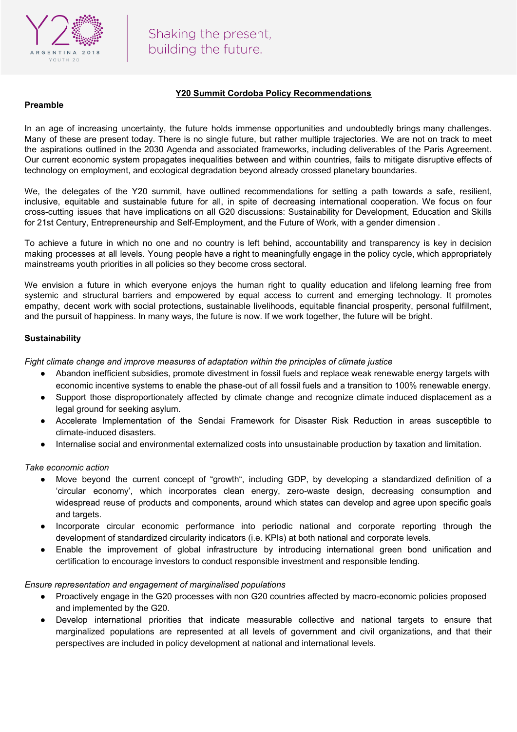

# **Y20 Summit Cordoba Policy Recommendations**

## **Preamble**

In an age of increasing uncertainty, the future holds immense opportunities and undoubtedly brings many challenges. Many of these are present today. There is no single future, but rather multiple trajectories. We are not on track to meet the aspirations outlined in the 2030 Agenda and associated frameworks, including deliverables of the Paris Agreement. Our current economic system propagates inequalities between and within countries, fails to mitigate disruptive effects of technology on employment, and ecological degradation beyond already crossed planetary boundaries.

We, the delegates of the Y20 summit, have outlined recommendations for setting a path towards a safe, resilient, inclusive, equitable and sustainable future for all, in spite of decreasing international cooperation. We focus on four cross-cutting issues that have implications on all G20 discussions: Sustainability for Development, Education and Skills for 21st Century, Entrepreneurship and Self-Employment, and the Future of Work, with a gender dimension .

To achieve a future in which no one and no country is left behind, accountability and transparency is key in decision making processes at all levels. Young people have a right to meaningfully engage in the policy cycle, which appropriately mainstreams youth priorities in all policies so they become cross sectoral.

We envision a future in which everyone enjoys the human right to quality education and lifelong learning free from systemic and structural barriers and empowered by equal access to current and emerging technology. It promotes empathy, decent work with social protections, sustainable livelihoods, equitable financial prosperity, personal fulfillment, and the pursuit of happiness. In many ways, the future is now. If we work together, the future will be bright.

## **Sustainability**

*Fight climate change and improve measures of adaptation within the principles of climate justice*

- Abandon inefficient subsidies, promote divestment in fossil fuels and replace weak renewable energy targets with economic incentive systems to enable the phase-out of all fossil fuels and a transition to 100% renewable energy.
- Support those disproportionately affected by climate change and recognize climate induced displacement as a legal ground for seeking asylum.
- Accelerate Implementation of the Sendai Framework for Disaster Risk Reduction in areas susceptible to climate-induced disasters.
- Internalise social and environmental externalized costs into unsustainable production by taxation and limitation.

*Take economic action*

- Move beyond the current concept of "growth", including GDP, by developing a standardized definition of a 'circular economy', which incorporates clean energy, zero-waste design, decreasing consumption and widespread reuse of products and components, around which states can develop and agree upon specific goals and targets.
- *●* Incorporate circular economic performance into periodic national and corporate reporting through the development of standardized circularity indicators (i.e. KPIs) at both national and corporate levels.
- Enable the improvement of global infrastructure by introducing international green bond unification and certification to encourage investors to conduct responsible investment and responsible lending.

## *Ensure representation and engagement of marginalised populations*

- Proactively engage in the G20 processes with non G20 countries affected by macro-economic policies proposed and implemented by the G20.
- Develop international priorities that indicate measurable collective and national targets to ensure that marginalized populations are represented at all levels of government and civil organizations, and that their perspectives are included in policy development at national and international levels.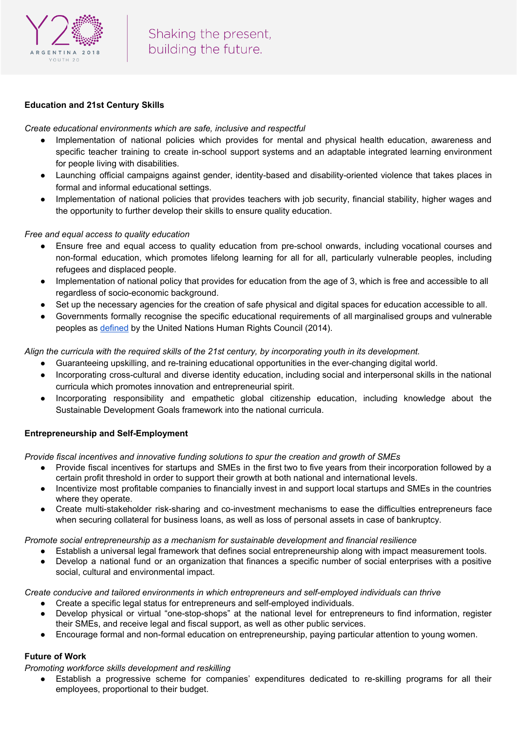

# **Education and 21st Century Skills**

*Create educational environments which are safe, inclusive and respectful*

- Implementation of national policies which provides for mental and physical health education, awareness and specific teacher training to create in-school support systems and an adaptable integrated learning environment for people living with disabilities.
- Launching official campaigns against gender, identity-based and disability-oriented violence that takes places in formal and informal educational settings.
- Implementation of national policies that provides teachers with job security, financial stability, higher wages and the opportunity to further develop their skills to ensure quality education.

## *Free and equal access to quality education*

- Ensure free and equal access to quality education from pre-school onwards, including vocational courses and non-formal education, which promotes lifelong learning for all for all, particularly vulnerable peoples, including refugees and displaced people.
- Implementation of national policy that provides for education from the age of 3, which is free and accessible to all regardless of socio-economic background.
- Set up the necessary agencies for the creation of safe physical and digital spaces for education accessible to all.
- Governments formally recognise the specific educational requirements of all marginalised groups and vulnerable peoples as [defined](https://www.ohchr.org/EN/NewsEvents/Pages/DisplayNews.aspx?NewsID=14690&LangID=E) by the United Nations Human Rights Council (2014).

Align the curricula with the required skills of the 21st century, by incorporating youth in its development.

- Guaranteeing upskilling, and re-training educational opportunities in the ever-changing digital world.
- Incorporating cross-cultural and diverse identity education, including social and interpersonal skills in the national curricula which promotes innovation and entrepreneurial spirit.
- Incorporating responsibility and empathetic global citizenship education, including knowledge about the Sustainable Development Goals framework into the national curricula.

## **Entrepreneurship and Self-Employment**

*Provide fiscal incentives and innovative funding solutions to spur the creation and growth of SMEs*

- Provide fiscal incentives for startups and SMEs in the first two to five years from their incorporation followed by a certain profit threshold in order to support their growth at both national and international levels.
- Incentivize most profitable companies to financially invest in and support local startups and SMEs in the countries where they operate.
- Create multi-stakeholder risk-sharing and co-investment mechanisms to ease the difficulties entrepreneurs face when securing collateral for business loans, as well as loss of personal assets in case of bankruptcy.

*Promote social entrepreneurship as a mechanism for sustainable development and financial resilience*

- Establish a universal legal framework that defines social entrepreneurship along with impact measurement tools.
- Develop a national fund or an organization that finances a specific number of social enterprises with a positive social, cultural and environmental impact.

*Create conducive and tailored environments in which entrepreneurs and self-employed individuals can thrive*

- Create a specific legal status for entrepreneurs and self-employed individuals.
- Develop physical or virtual "one-stop-shops" at the national level for entrepreneurs to find information, register their SMEs, and receive legal and fiscal support, as well as other public services.
- Encourage formal and non-formal education on entrepreneurship, paying particular attention to young women.

# **Future of Work**

*Promoting workforce skills development and reskilling*

● Establish a progressive scheme for companies' expenditures dedicated to re-skilling programs for all their employees, proportional to their budget.